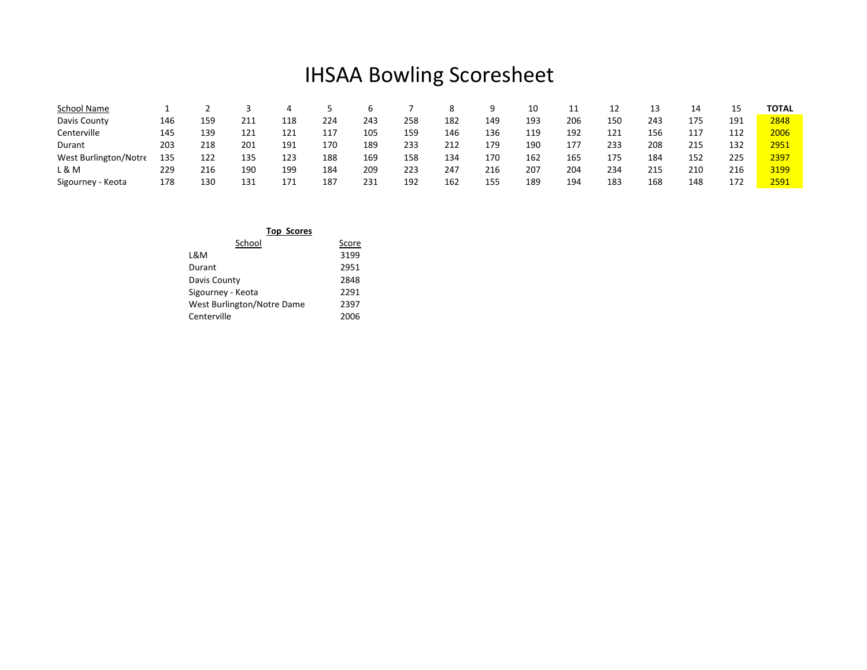## IHSAA Bowling Scoresheet

| School Name           |     |     |     |     |     |     |     |     |     | 10  | ᆠᆠ  | 12  | 13  | 14  | 15  | <b>TOTAL</b> |
|-----------------------|-----|-----|-----|-----|-----|-----|-----|-----|-----|-----|-----|-----|-----|-----|-----|--------------|
| Davis County          | 146 | 159 | 211 | 118 | 224 | 243 | 258 | 182 | 149 | 193 | 206 | 150 | 243 | 175 | 191 | 2848         |
| Centerville           | 145 | 139 | 121 | 121 | 117 | 105 | 159 | 146 | 136 | 119 | 192 | 121 | 156 | 117 | 112 | 2006         |
| Durant                | 203 | 218 | 201 | 191 | 170 | 189 | 233 | 212 | 179 | 190 | 177 | 233 | 208 | 215 | 132 | 2951         |
| West Burlington/Notre | 135 | 122 | 135 | 123 | 188 | 169 | 158 | 134 | 170 | 162 | 165 | 175 | 184 | 152 | 225 | 2397         |
| L & M                 | 229 | 216 | 190 | 199 | 184 | 209 | 223 | 247 | 216 | 207 | 204 | 234 | 215 | 210 | 216 | 3199         |
| Sigourney - Keota     | 178 | 130 | 131 | 171 | 187 | 231 | 192 | 162 | 155 | 189 | 194 | 183 | 168 | 148 | 172 | 2591         |

| <b>Top Scores</b>          |       |
|----------------------------|-------|
| School                     | Score |
| L&M                        | 3199  |
| Durant                     | 2951  |
| Davis County               | 2848  |
| Sigourney - Keota          | 2291  |
| West Burlington/Notre Dame | 2397  |
| Centerville                | 2006  |